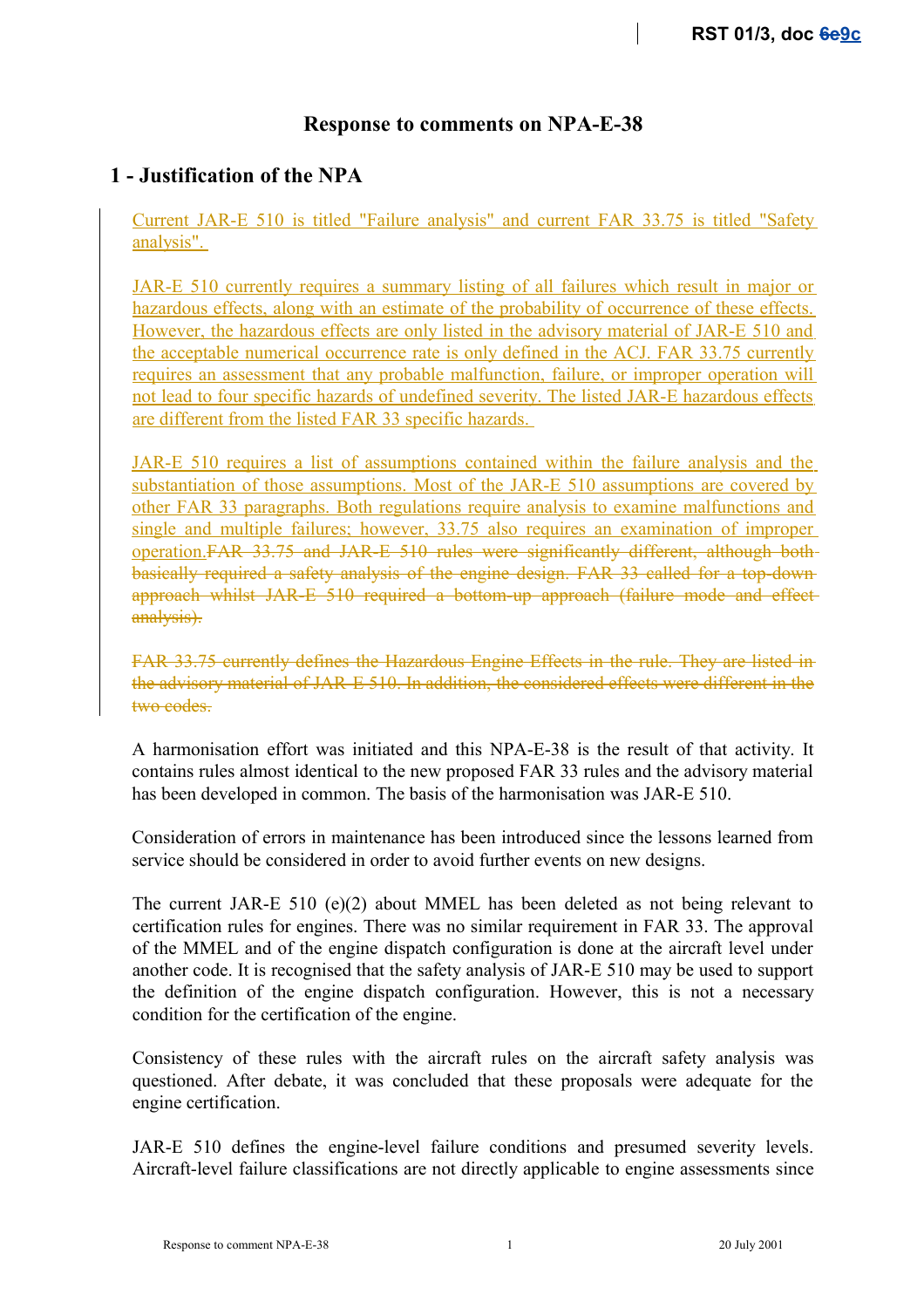## **Response to comments on NPA-E-38**

## **1 - Justification of the NPA**

Current JAR-E 510 is titled "Failure analysis" and current FAR 33.75 is titled "Safety analysis".

JAR-E 510 currently requires a summary listing of all failures which result in major or hazardous effects, along with an estimate of the probability of occurrence of these effects. However, the hazardous effects are only listed in the advisory material of JAR-E 510 and the acceptable numerical occurrence rate is only defined in the ACJ. FAR 33.75 currently requires an assessment that any probable malfunction, failure, or improper operation will not lead to four specific hazards of undefined severity. The listed JAR-E hazardous effects are different from the listed FAR 33 specific hazards.

JAR-E 510 requires a list of assumptions contained within the failure analysis and the substantiation of those assumptions. Most of the JAR-E 510 assumptions are covered by other FAR 33 paragraphs. Both regulations require analysis to examine malfunctions and single and multiple failures; however, 33.75 also requires an examination of improper operation.FAR 33.75 and JAR-E 510 rules were significantly different, although both basically required a safety analysis of the engine design. FAR 33 called for a top-down approach whilst JAR-E 510 required a bottom-up approach (failure mode and effect analysis).

FAR 33.75 currently defines the Hazardous Engine Effects in the rule. They are listed in the advisory material of JAR-E 510. In addition, the considered effects were different in the two codes.

A harmonisation effort was initiated and this NPA-E-38 is the result of that activity. It contains rules almost identical to the new proposed FAR 33 rules and the advisory material has been developed in common. The basis of the harmonisation was JAR-E 510.

Consideration of errors in maintenance has been introduced since the lessons learned from service should be considered in order to avoid further events on new designs.

The current JAR-E 510 (e)(2) about MMEL has been deleted as not being relevant to certification rules for engines. There was no similar requirement in FAR 33. The approval of the MMEL and of the engine dispatch configuration is done at the aircraft level under another code. It is recognised that the safety analysis of JAR-E 510 may be used to support the definition of the engine dispatch configuration. However, this is not a necessary condition for the certification of the engine.

Consistency of these rules with the aircraft rules on the aircraft safety analysis was questioned. After debate, it was concluded that these proposals were adequate for the engine certification.

JAR-E 510 defines the engine-level failure conditions and presumed severity levels. Aircraft-level failure classifications are not directly applicable to engine assessments since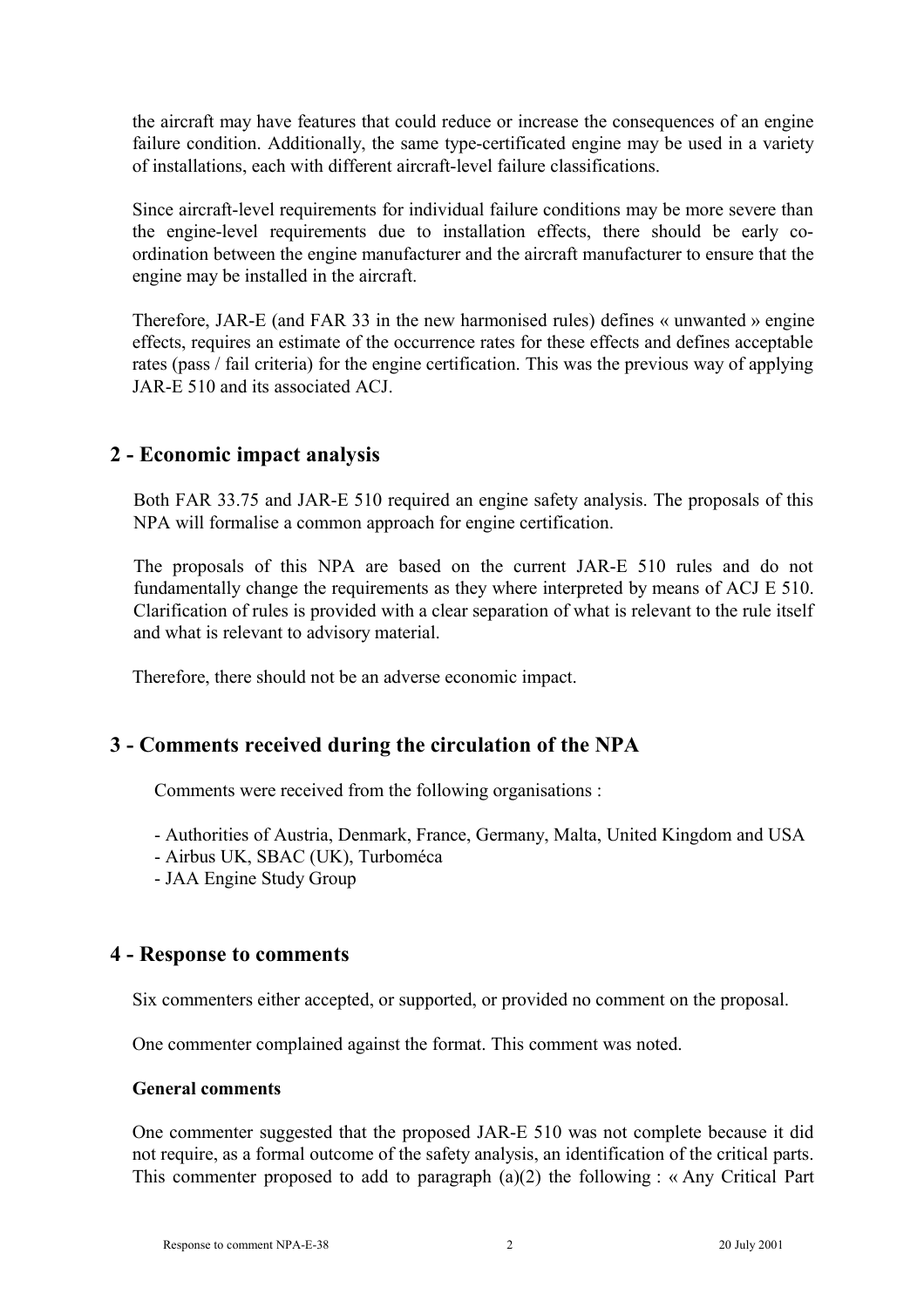the aircraft may have features that could reduce or increase the consequences of an engine failure condition. Additionally, the same type-certificated engine may be used in a variety of installations, each with different aircraft-level failure classifications.

Since aircraft-level requirements for individual failure conditions may be more severe than the engine-level requirements due to installation effects, there should be early coordination between the engine manufacturer and the aircraft manufacturer to ensure that the engine may be installed in the aircraft.

Therefore, JAR-E (and FAR 33 in the new harmonised rules) defines « unwanted » engine effects, requires an estimate of the occurrence rates for these effects and defines acceptable rates (pass / fail criteria) for the engine certification. This was the previous way of applying JAR-E 510 and its associated ACJ.

## **2 - Economic impact analysis**

Both FAR 33.75 and JAR-E 510 required an engine safety analysis. The proposals of this NPA will formalise a common approach for engine certification.

The proposals of this NPA are based on the current JAR-E 510 rules and do not fundamentally change the requirements as they where interpreted by means of ACJ E 510. Clarification of rules is provided with a clear separation of what is relevant to the rule itself and what is relevant to advisory material.

Therefore, there should not be an adverse economic impact.

# **3 - Comments received during the circulation of the NPA**

Comments were received from the following organisations :

- Authorities of Austria, Denmark, France, Germany, Malta, United Kingdom and USA
- Airbus UK, SBAC (UK), Turboméca
- JAA Engine Study Group

## **4 - Response to comments**

Six commenters either accepted, or supported, or provided no comment on the proposal.

One commenter complained against the format. This comment was noted.

#### **General comments**

One commenter suggested that the proposed JAR-E 510 was not complete because it did not require, as a formal outcome of the safety analysis, an identification of the critical parts. This commenter proposed to add to paragraph (a)(2) the following : « Any Critical Part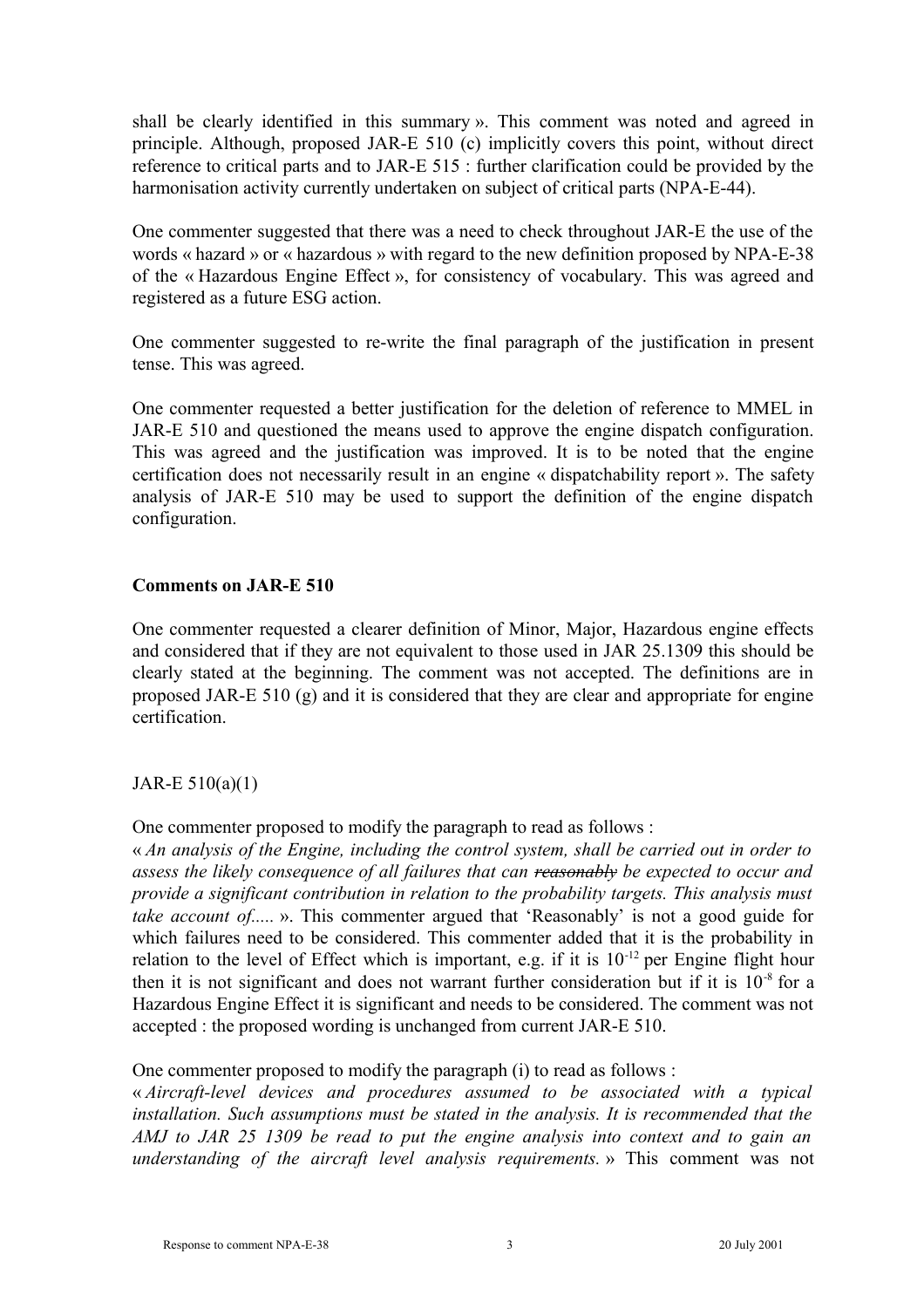shall be clearly identified in this summary ». This comment was noted and agreed in principle. Although, proposed JAR-E 510 (c) implicitly covers this point, without direct reference to critical parts and to JAR-E 515 : further clarification could be provided by the harmonisation activity currently undertaken on subject of critical parts (NPA-E-44).

One commenter suggested that there was a need to check throughout JAR-E the use of the words « hazard » or « hazardous » with regard to the new definition proposed by NPA-E-38 of the « Hazardous Engine Effect », for consistency of vocabulary. This was agreed and registered as a future ESG action.

One commenter suggested to re-write the final paragraph of the justification in present tense. This was agreed.

One commenter requested a better justification for the deletion of reference to MMEL in JAR-E 510 and questioned the means used to approve the engine dispatch configuration. This was agreed and the justification was improved. It is to be noted that the engine certification does not necessarily result in an engine « dispatchability report ». The safety analysis of JAR-E 510 may be used to support the definition of the engine dispatch configuration.

#### **Comments on JAR-E 510**

One commenter requested a clearer definition of Minor, Major, Hazardous engine effects and considered that if they are not equivalent to those used in JAR 25.1309 this should be clearly stated at the beginning. The comment was not accepted. The definitions are in proposed JAR-E 510 (g) and it is considered that they are clear and appropriate for engine certification.

## JAR-E 510(a)(1)

One commenter proposed to modify the paragraph to read as follows :

« *An analysis of the Engine, including the control system, shall be carried out in order to assess the likely consequence of all failures that can reasonably be expected to occur and provide a significant contribution in relation to the probability targets. This analysis must take account of.....* ». This commenter argued that 'Reasonably' is not a good guide for which failures need to be considered. This commenter added that it is the probability in relation to the level of Effect which is important, e.g. if it is  $10^{-12}$  per Engine flight hour then it is not significant and does not warrant further consideration but if it is  $10^{-8}$  for a Hazardous Engine Effect it is significant and needs to be considered. The comment was not accepted : the proposed wording is unchanged from current JAR-E 510.

One commenter proposed to modify the paragraph (i) to read as follows :

« *Aircraft-level devices and procedures assumed to be associated with a typical installation. Such assumptions must be stated in the analysis. It is recommended that the AMJ to JAR 25 1309 be read to put the engine analysis into context and to gain an understanding of the aircraft level analysis requirements.* » This comment was not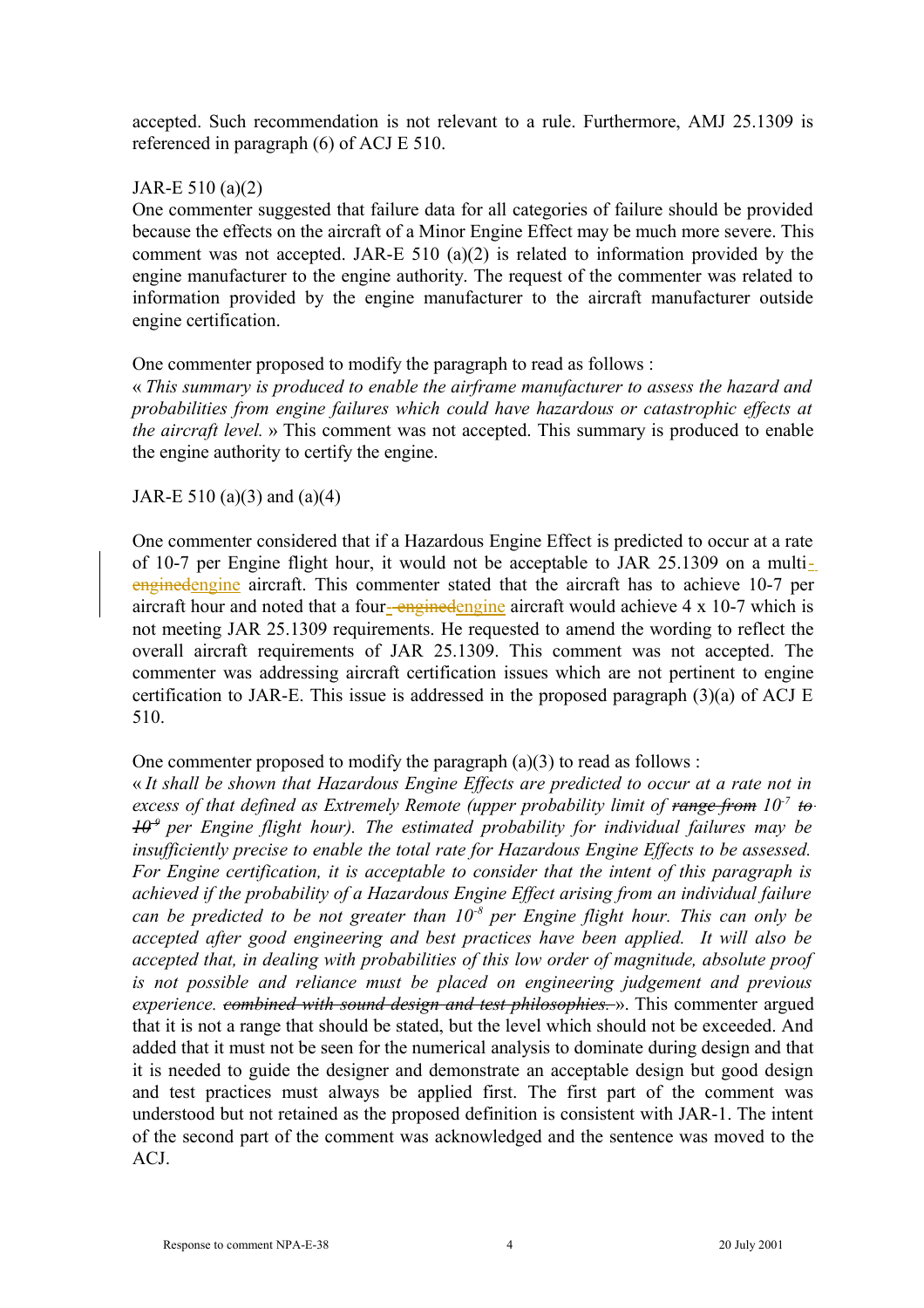accepted. Such recommendation is not relevant to a rule. Furthermore, AMJ 25.1309 is referenced in paragraph (6) of ACJ E 510.

## JAR-E 510 (a)(2)

One commenter suggested that failure data for all categories of failure should be provided because the effects on the aircraft of a Minor Engine Effect may be much more severe. This comment was not accepted. JAR-E 510 (a)(2) is related to information provided by the engine manufacturer to the engine authority. The request of the commenter was related to information provided by the engine manufacturer to the aircraft manufacturer outside engine certification.

One commenter proposed to modify the paragraph to read as follows :

« *This summary is produced to enable the airframe manufacturer to assess the hazard and probabilities from engine failures which could have hazardous or catastrophic effects at the aircraft level.* » This comment was not accepted. This summary is produced to enable the engine authority to certify the engine.

#### JAR-E 510 (a)(3) and (a)(4)

One commenter considered that if a Hazardous Engine Effect is predicted to occur at a rate of 10-7 per Engine flight hour, it would not be acceptable to JAR 25.1309 on a multienginedengine aircraft. This commenter stated that the aircraft has to achieve 10-7 per aircraft hour and noted that a four-enginedengine aircraft would achieve 4 x 10-7 which is not meeting JAR 25.1309 requirements. He requested to amend the wording to reflect the overall aircraft requirements of JAR 25.1309. This comment was not accepted. The commenter was addressing aircraft certification issues which are not pertinent to engine certification to JAR-E. This issue is addressed in the proposed paragraph (3)(a) of ACJ E 510.

#### One commenter proposed to modify the paragraph  $(a)(3)$  to read as follows :

« *It shall be shown that Hazardous Engine Effects are predicted to occur at a rate not in excess of that defined as Extremely Remote (upper probability limit of range from 10-7 to 10-9 per Engine flight hour). The estimated probability for individual failures may be insufficiently precise to enable the total rate for Hazardous Engine Effects to be assessed. For Engine certification, it is acceptable to consider that the intent of this paragraph is achieved if the probability of a Hazardous Engine Effect arising from an individual failure can be predicted to be not greater than 10-8 per Engine flight hour. This can only be accepted after good engineering and best practices have been applied. It will also be accepted that, in dealing with probabilities of this low order of magnitude, absolute proof is not possible and reliance must be placed on engineering judgement and previous experience. combined with sound design and test philosophies.* ». This commenter argued that it is not a range that should be stated, but the level which should not be exceeded. And added that it must not be seen for the numerical analysis to dominate during design and that it is needed to guide the designer and demonstrate an acceptable design but good design and test practices must always be applied first. The first part of the comment was understood but not retained as the proposed definition is consistent with JAR-1. The intent of the second part of the comment was acknowledged and the sentence was moved to the ACJ.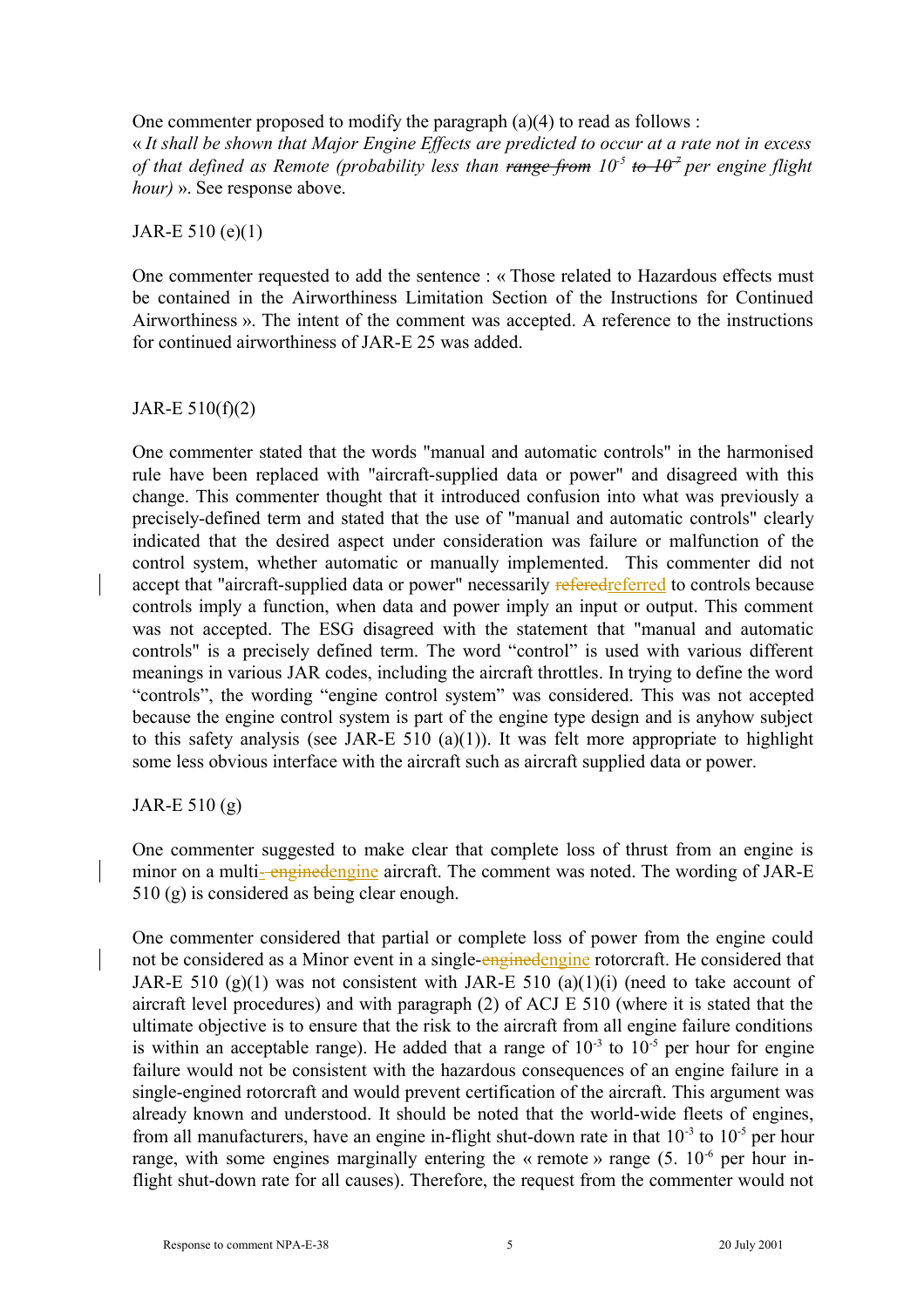One commenter proposed to modify the paragraph (a)(4) to read as follows :

« *It shall be shown that Major Engine Effects are predicted to occur at a rate not in excess of that defined as Remote (probability less than range from 10-5 to 10-7 per engine flight hour)* ». See response above.

#### JAR-E 510 (e)(1)

One commenter requested to add the sentence : « Those related to Hazardous effects must be contained in the Airworthiness Limitation Section of the Instructions for Continued Airworthiness ». The intent of the comment was accepted. A reference to the instructions for continued airworthiness of JAR-E 25 was added.

## JAR-E 510(f)(2)

One commenter stated that the words "manual and automatic controls" in the harmonised rule have been replaced with "aircraft-supplied data or power" and disagreed with this change. This commenter thought that it introduced confusion into what was previously a precisely-defined term and stated that the use of "manual and automatic controls" clearly indicated that the desired aspect under consideration was failure or malfunction of the control system, whether automatic or manually implemented. This commenter did not accept that "aircraft-supplied data or power" necessarily referred to controls because controls imply a function, when data and power imply an input or output. This comment was not accepted. The ESG disagreed with the statement that "manual and automatic controls" is a precisely defined term. The word "control" is used with various different meanings in various JAR codes, including the aircraft throttles. In trying to define the word "controls", the wording "engine control system" was considered. This was not accepted because the engine control system is part of the engine type design and is anyhow subject to this safety analysis (see JAR-E 510 (a)(1)). It was felt more appropriate to highlight some less obvious interface with the aircraft such as aircraft supplied data or power.

## JAR-E 510 (g)

One commenter suggested to make clear that complete loss of thrust from an engine is minor on a multi-enginedengine aircraft. The comment was noted. The wording of JAR-E 510 (g) is considered as being clear enough.

One commenter considered that partial or complete loss of power from the engine could not be considered as a Minor event in a single-enginedengine rotorcraft. He considered that JAR-E 510 (g)(1) was not consistent with JAR-E 510 (a)(1)(i) (need to take account of aircraft level procedures) and with paragraph (2) of ACJ E 510 (where it is stated that the ultimate objective is to ensure that the risk to the aircraft from all engine failure conditions is within an acceptable range). He added that a range of  $10^{-3}$  to  $10^{-5}$  per hour for engine failure would not be consistent with the hazardous consequences of an engine failure in a single-engined rotorcraft and would prevent certification of the aircraft. This argument was already known and understood. It should be noted that the world-wide fleets of engines, from all manufacturers, have an engine in-flight shut-down rate in that  $10^{-3}$  to  $10^{-5}$  per hour range, with some engines marginally entering the « remote » range  $(5, 10^{-6}$  per hour inflight shut-down rate for all causes). Therefore, the request from the commenter would not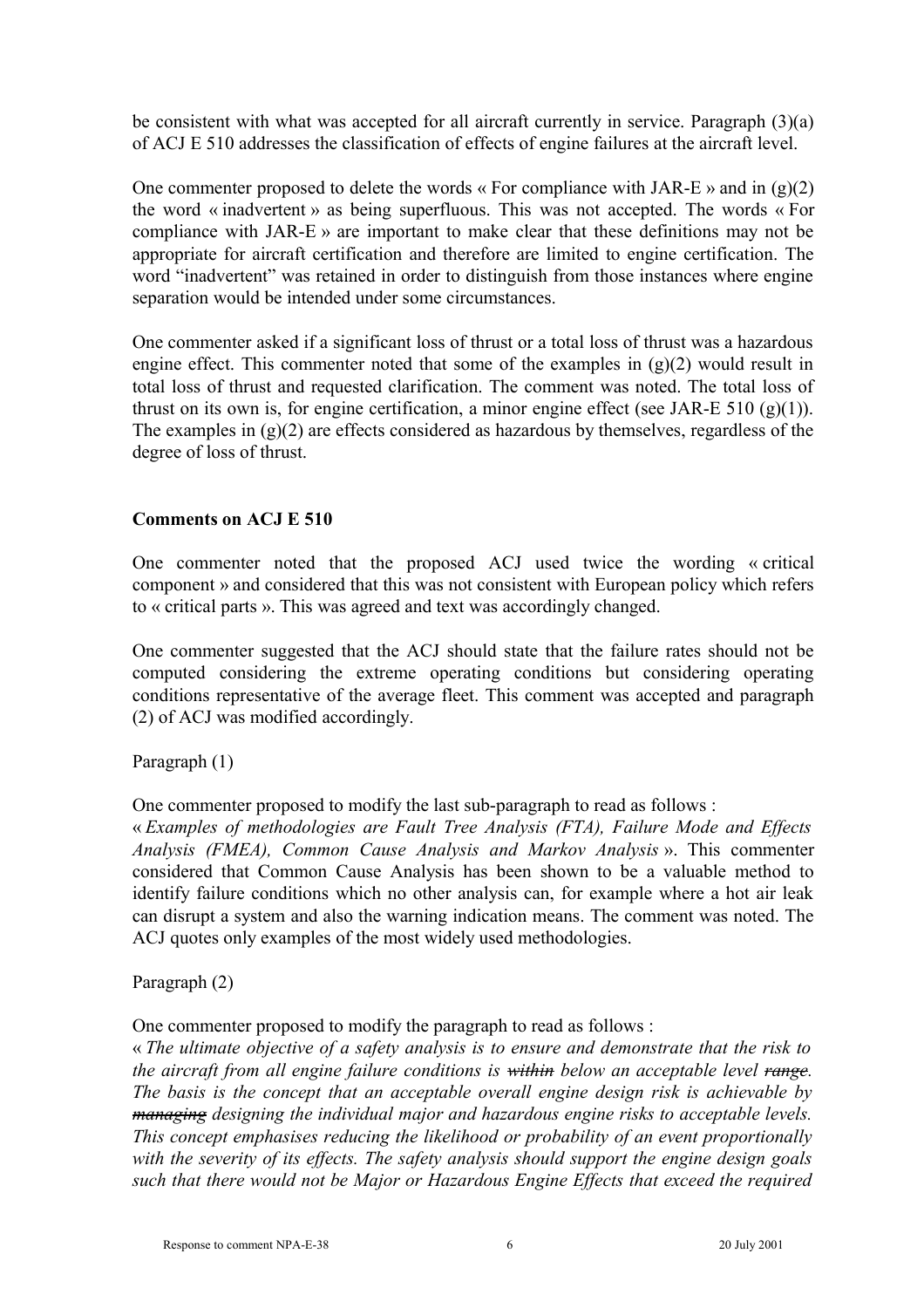be consistent with what was accepted for all aircraft currently in service. Paragraph (3)(a) of ACJ E 510 addresses the classification of effects of engine failures at the aircraft level.

One commenter proposed to delete the words « For compliance with JAR-E » and in  $(g)(2)$ the word « inadvertent » as being superfluous. This was not accepted. The words « For compliance with JAR-E » are important to make clear that these definitions may not be appropriate for aircraft certification and therefore are limited to engine certification. The word "inadvertent" was retained in order to distinguish from those instances where engine separation would be intended under some circumstances.

One commenter asked if a significant loss of thrust or a total loss of thrust was a hazardous engine effect. This commenter noted that some of the examples in  $(g)(2)$  would result in total loss of thrust and requested clarification. The comment was noted. The total loss of thrust on its own is, for engine certification, a minor engine effect (see JAR-E 510  $(g)(1)$ ). The examples in (g)(2) are effects considered as hazardous by themselves, regardless of the degree of loss of thrust.

## **Comments on ACJ E 510**

One commenter noted that the proposed ACJ used twice the wording « critical component » and considered that this was not consistent with European policy which refers to « critical parts ». This was agreed and text was accordingly changed.

One commenter suggested that the ACJ should state that the failure rates should not be computed considering the extreme operating conditions but considering operating conditions representative of the average fleet. This comment was accepted and paragraph (2) of ACJ was modified accordingly.

Paragraph (1)

One commenter proposed to modify the last sub-paragraph to read as follows :

« *Examples of methodologies are Fault Tree Analysis (FTA), Failure Mode and Effects Analysis (FMEA), Common Cause Analysis and Markov Analysis* ». This commenter considered that Common Cause Analysis has been shown to be a valuable method to identify failure conditions which no other analysis can, for example where a hot air leak can disrupt a system and also the warning indication means. The comment was noted. The ACJ quotes only examples of the most widely used methodologies.

Paragraph (2)

One commenter proposed to modify the paragraph to read as follows :

« *The ultimate objective of a safety analysis is to ensure and demonstrate that the risk to the aircraft from all engine failure conditions is within below an acceptable level range. The basis is the concept that an acceptable overall engine design risk is achievable by managing designing the individual major and hazardous engine risks to acceptable levels. This concept emphasises reducing the likelihood or probability of an event proportionally with the severity of its effects. The safety analysis should support the engine design goals such that there would not be Major or Hazardous Engine Effects that exceed the required*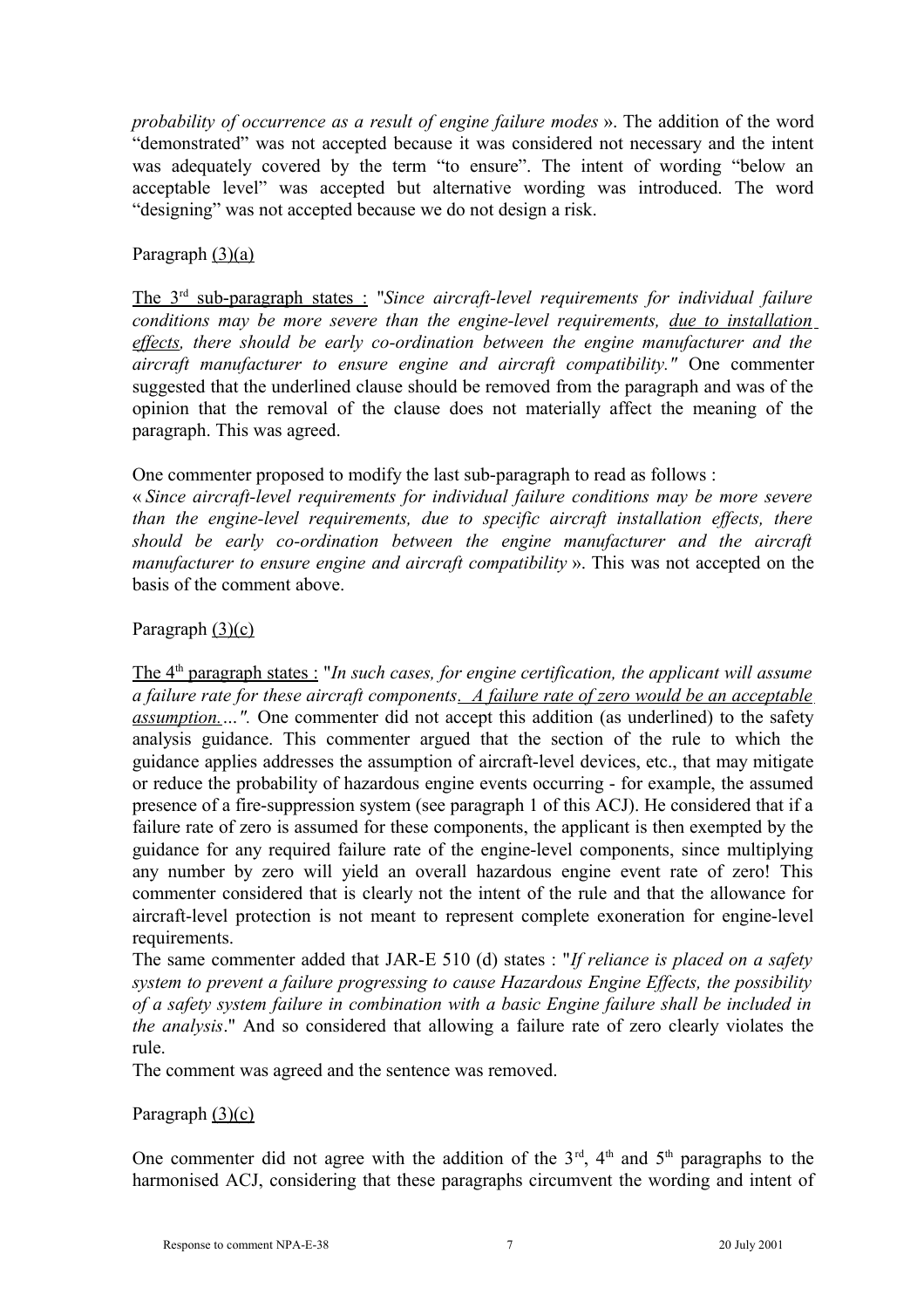*probability of occurrence as a result of engine failure modes* ». The addition of the word "demonstrated" was not accepted because it was considered not necessary and the intent was adequately covered by the term "to ensure". The intent of wording "below an acceptable level" was accepted but alternative wording was introduced. The word "designing" was not accepted because we do not design a risk.

## Paragraph (3)(a)

 The 3rd sub-paragraph states : "*Since aircraft-level requirements for individual failure conditions may be more severe than the engine-level requirements, due to installation effects, there should be early co-ordination between the engine manufacturer and the aircraft manufacturer to ensure engine and aircraft compatibility."* One commenter suggested that the underlined clause should be removed from the paragraph and was of the opinion that the removal of the clause does not materially affect the meaning of the paragraph. This was agreed.

One commenter proposed to modify the last sub-paragraph to read as follows :

« *Since aircraft-level requirements for individual failure conditions may be more severe than the engine-level requirements, due to specific aircraft installation effects, there should be early co-ordination between the engine manufacturer and the aircraft manufacturer to ensure engine and aircraft compatibility* ». This was not accepted on the basis of the comment above.

## Paragraph (3)(c)

The 4<sup>th</sup> paragraph states : "*In such cases, for engine certification, the applicant will assume a failure rate for these aircraft components. A failure rate of zero would be an acceptable assumption.…".* One commenter did not accept this addition (as underlined) to the safety analysis guidance. This commenter argued that the section of the rule to which the guidance applies addresses the assumption of aircraft-level devices, etc., that may mitigate or reduce the probability of hazardous engine events occurring - for example, the assumed presence of a fire-suppression system (see paragraph 1 of this ACJ). He considered that if a failure rate of zero is assumed for these components, the applicant is then exempted by the guidance for any required failure rate of the engine-level components, since multiplying any number by zero will yield an overall hazardous engine event rate of zero! This commenter considered that is clearly not the intent of the rule and that the allowance for aircraft-level protection is not meant to represent complete exoneration for engine-level requirements.

The same commenter added that JAR-E 510 (d) states : "*If reliance is placed on a safety system to prevent a failure progressing to cause Hazardous Engine Effects, the possibility of a safety system failure in combination with a basic Engine failure shall be included in the analysis*." And so considered that allowing a failure rate of zero clearly violates the rule.

The comment was agreed and the sentence was removed.

## Paragraph  $(3)(c)$

One commenter did not agree with the addition of the  $3<sup>rd</sup>$ ,  $4<sup>th</sup>$  and  $5<sup>th</sup>$  paragraphs to the harmonised ACJ, considering that these paragraphs circumvent the wording and intent of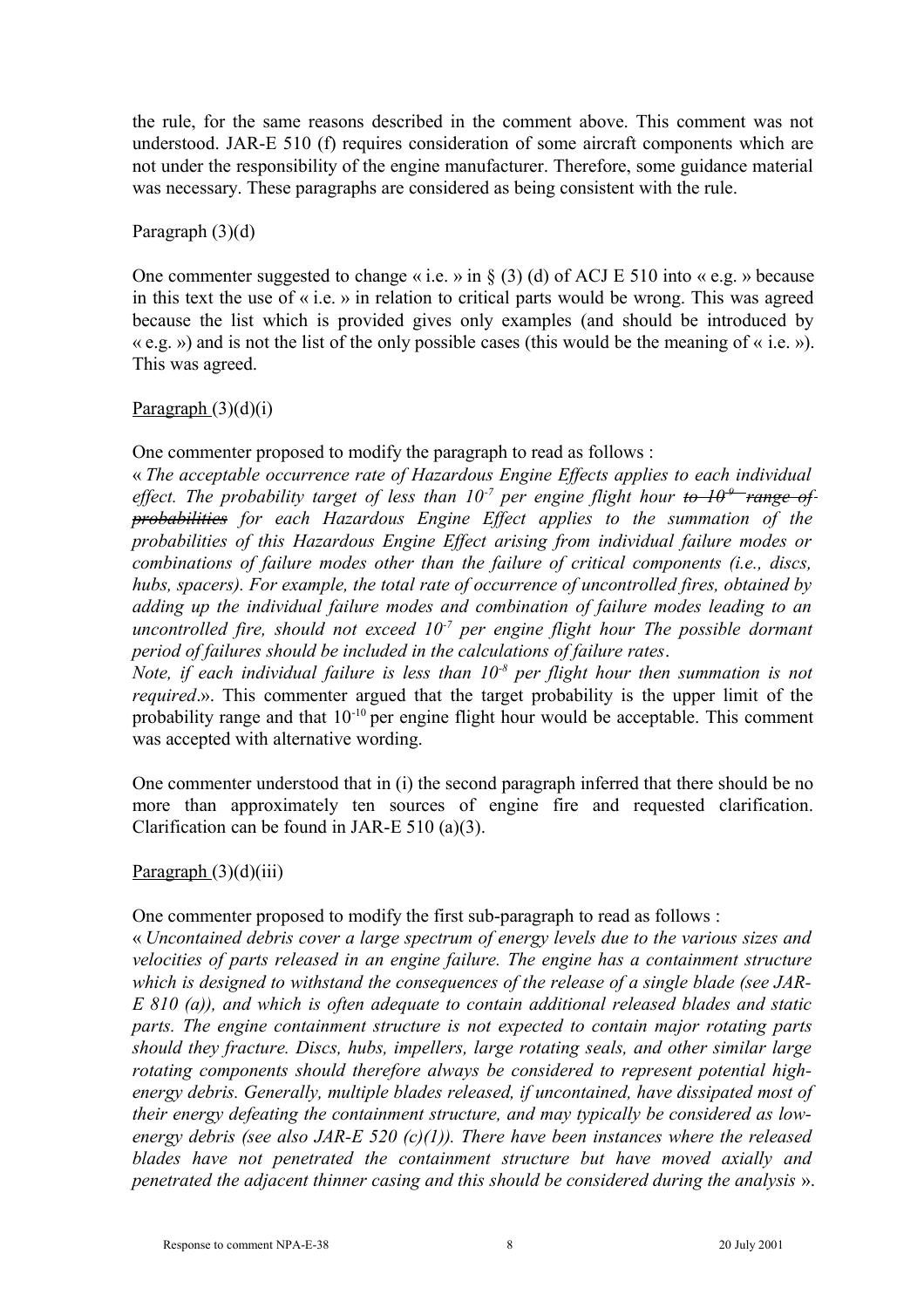the rule, for the same reasons described in the comment above. This comment was not understood. JAR-E 510 (f) requires consideration of some aircraft components which are not under the responsibility of the engine manufacturer. Therefore, some guidance material was necessary. These paragraphs are considered as being consistent with the rule.

#### Paragraph (3)(d)

One commenter suggested to change « i.e. » in  $\S$  (3) (d) of ACJ E 510 into « e.g. » because in this text the use of « i.e. » in relation to critical parts would be wrong. This was agreed because the list which is provided gives only examples (and should be introduced by  $\langle e.g. \rangle$  and is not the list of the only possible cases (this would be the meaning of  $\langle e, i \rangle$ ). This was agreed.

## Paragraph  $(3)(d)(i)$

One commenter proposed to modify the paragraph to read as follows :

« *The acceptable occurrence rate of Hazardous Engine Effects applies to each individual effect. The probability target of less than 10<sup>-7</sup> per engine flight hour to*  $10^{-9}$  *range of probabilities for each Hazardous Engine Effect applies to the summation of the probabilities of this Hazardous Engine Effect arising from individual failure modes or combinations of failure modes other than the failure of critical components (i.e., discs, hubs, spacers). For example, the total rate of occurrence of uncontrolled fires, obtained by adding up the individual failure modes and combination of failure modes leading to an uncontrolled fire, should not exceed 10-7 per engine flight hour The possible dormant period of failures should be included in the calculations of failure rates*.

*Note, if each individual failure is less than 10-8 per flight hour then summation is not required*.». This commenter argued that the target probability is the upper limit of the probability range and that  $10^{-10}$  per engine flight hour would be acceptable. This comment was accepted with alternative wording.

One commenter understood that in (i) the second paragraph inferred that there should be no more than approximately ten sources of engine fire and requested clarification. Clarification can be found in JAR-E 510 (a)(3).

## $P<sub>aragraph</sub>(3)(d)(iii)$

One commenter proposed to modify the first sub-paragraph to read as follows :

« *Uncontained debris cover a large spectrum of energy levels due to the various sizes and velocities of parts released in an engine failure. The engine has a containment structure which is designed to withstand the consequences of the release of a single blade (see JAR-E 810 (a)), and which is often adequate to contain additional released blades and static parts. The engine containment structure is not expected to contain major rotating parts should they fracture. Discs, hubs, impellers, large rotating seals, and other similar large rotating components should therefore always be considered to represent potential highenergy debris. Generally, multiple blades released, if uncontained, have dissipated most of their energy defeating the containment structure, and may typically be considered as lowenergy debris (see also JAR-E 520 (c)(1)). There have been instances where the released blades have not penetrated the containment structure but have moved axially and penetrated the adjacent thinner casing and this should be considered during the analysis* ».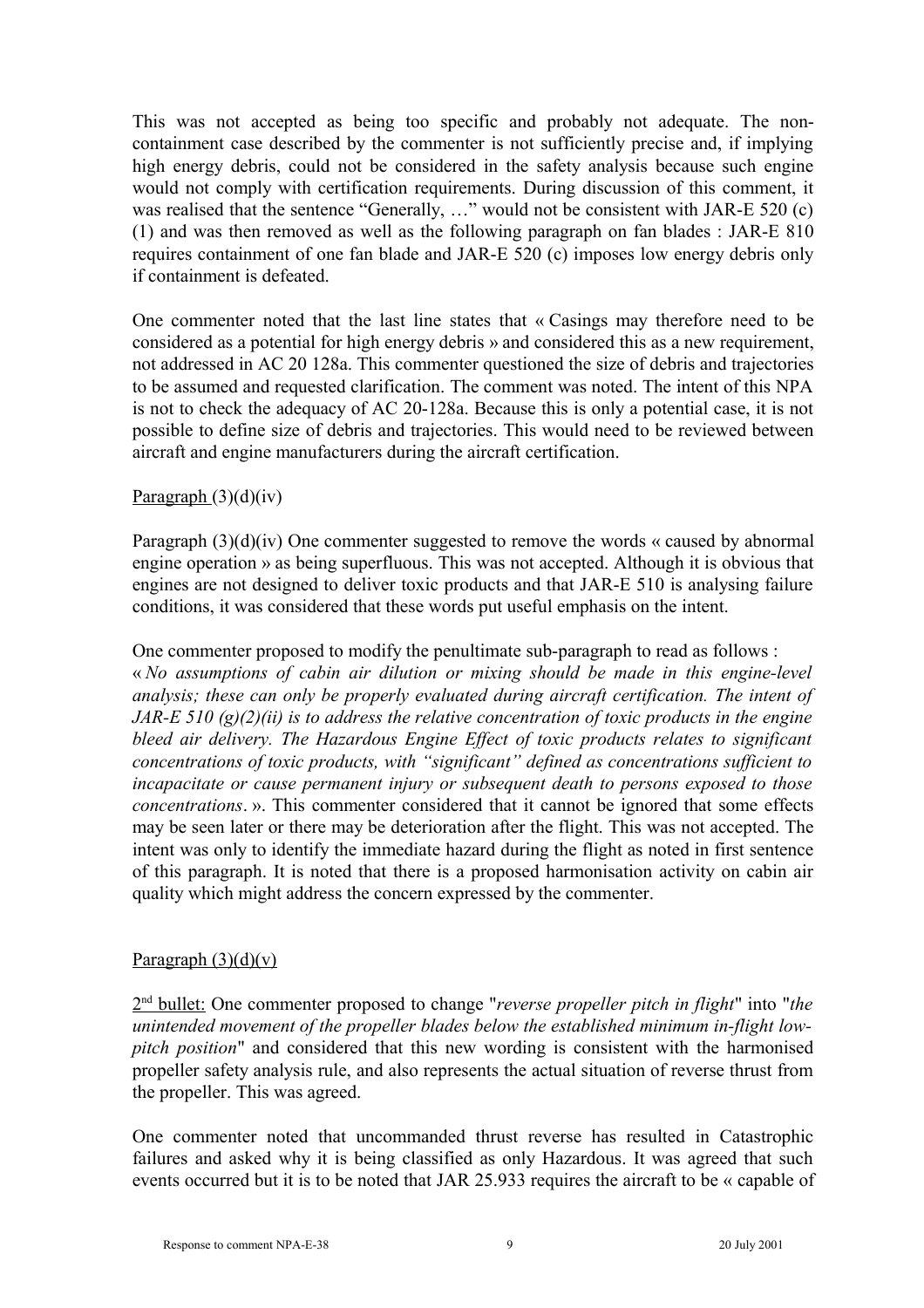This was not accepted as being too specific and probably not adequate. The noncontainment case described by the commenter is not sufficiently precise and, if implying high energy debris, could not be considered in the safety analysis because such engine would not comply with certification requirements. During discussion of this comment, it was realised that the sentence "Generally, ..." would not be consistent with JAR-E 520 (c) (1) and was then removed as well as the following paragraph on fan blades : JAR-E 810 requires containment of one fan blade and JAR-E 520 (c) imposes low energy debris only if containment is defeated.

One commenter noted that the last line states that « Casings may therefore need to be considered as a potential for high energy debris » and considered this as a new requirement, not addressed in AC 20 128a. This commenter questioned the size of debris and trajectories to be assumed and requested clarification. The comment was noted. The intent of this NPA is not to check the adequacy of AC 20-128a. Because this is only a potential case, it is not possible to define size of debris and trajectories. This would need to be reviewed between aircraft and engine manufacturers during the aircraft certification.

## Paragraph  $(3)(d)(iv)$

Paragraph (3)(d)(iv) One commenter suggested to remove the words « caused by abnormal engine operation » as being superfluous. This was not accepted. Although it is obvious that engines are not designed to deliver toxic products and that JAR-E 510 is analysing failure conditions, it was considered that these words put useful emphasis on the intent.

One commenter proposed to modify the penultimate sub-paragraph to read as follows : « *No assumptions of cabin air dilution or mixing should be made in this engine-level analysis; these can only be properly evaluated during aircraft certification. The intent of JAR-E 510 (g)(2)(ii) is to address the relative concentration of toxic products in the engine bleed air delivery. The Hazardous Engine Effect of toxic products relates to significant concentrations of toxic products, with "significant" defined as concentrations sufficient to incapacitate or cause permanent injury or subsequent death to persons exposed to those concentrations*. ». This commenter considered that it cannot be ignored that some effects may be seen later or there may be deterioration after the flight. This was not accepted. The intent was only to identify the immediate hazard during the flight as noted in first sentence of this paragraph. It is noted that there is a proposed harmonisation activity on cabin air quality which might address the concern expressed by the commenter.

#### Paragraph  $(3)(d)(v)$

 2 nd bullet: One commenter proposed to change "*reverse propeller pitch in flight*" into "*the unintended movement of the propeller blades below the established minimum in-flight lowpitch position*" and considered that this new wording is consistent with the harmonised propeller safety analysis rule, and also represents the actual situation of reverse thrust from the propeller. This was agreed.

One commenter noted that uncommanded thrust reverse has resulted in Catastrophic failures and asked why it is being classified as only Hazardous. It was agreed that such events occurred but it is to be noted that JAR 25.933 requires the aircraft to be « capable of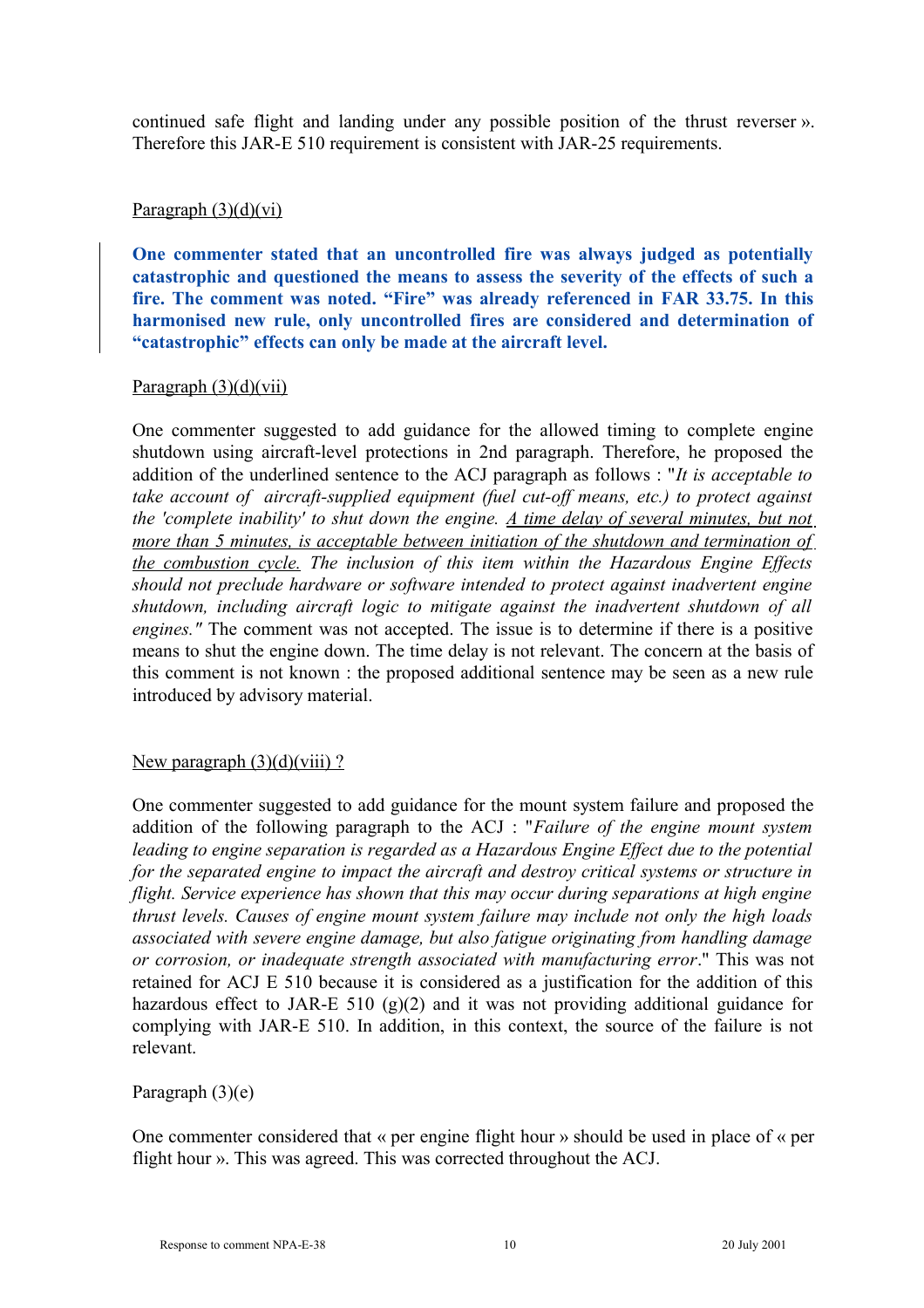continued safe flight and landing under any possible position of the thrust reverser ». Therefore this JAR-E 510 requirement is consistent with JAR-25 requirements.

## Paragraph  $(3)(d)(vi)$

**One commenter stated that an uncontrolled fire was always judged as potentially catastrophic and questioned the means to assess the severity of the effects of such a fire. The comment was noted. "Fire" was already referenced in FAR 33.75. In this harmonised new rule, only uncontrolled fires are considered and determination of "catastrophic" effects can only be made at the aircraft level.**

#### Paragraph  $(3)(d)(vii)$

One commenter suggested to add guidance for the allowed timing to complete engine shutdown using aircraft-level protections in 2nd paragraph. Therefore, he proposed the addition of the underlined sentence to the ACJ paragraph as follows : "*It is acceptable to take account of aircraft-supplied equipment (fuel cut-off means, etc.) to protect against the 'complete inability' to shut down the engine. A time delay of several minutes, but not more than 5 minutes, is acceptable between initiation of the shutdown and termination of the combustion cycle. The inclusion of this item within the Hazardous Engine Effects should not preclude hardware or software intended to protect against inadvertent engine shutdown, including aircraft logic to mitigate against the inadvertent shutdown of all engines."* The comment was not accepted. The issue is to determine if there is a positive means to shut the engine down. The time delay is not relevant. The concern at the basis of this comment is not known : the proposed additional sentence may be seen as a new rule introduced by advisory material.

## New paragraph  $(3)(d)(viii)$ ?

One commenter suggested to add guidance for the mount system failure and proposed the addition of the following paragraph to the ACJ : "*Failure of the engine mount system leading to engine separation is regarded as a Hazardous Engine Effect due to the potential for the separated engine to impact the aircraft and destroy critical systems or structure in flight. Service experience has shown that this may occur during separations at high engine thrust levels. Causes of engine mount system failure may include not only the high loads associated with severe engine damage, but also fatigue originating from handling damage or corrosion, or inadequate strength associated with manufacturing error*." This was not retained for ACJ E 510 because it is considered as a justification for the addition of this hazardous effect to JAR-E 510  $(g)(2)$  and it was not providing additional guidance for complying with JAR-E 510. In addition, in this context, the source of the failure is not relevant.

## Paragraph (3)(e)

One commenter considered that « per engine flight hour » should be used in place of « per flight hour ». This was agreed. This was corrected throughout the ACJ.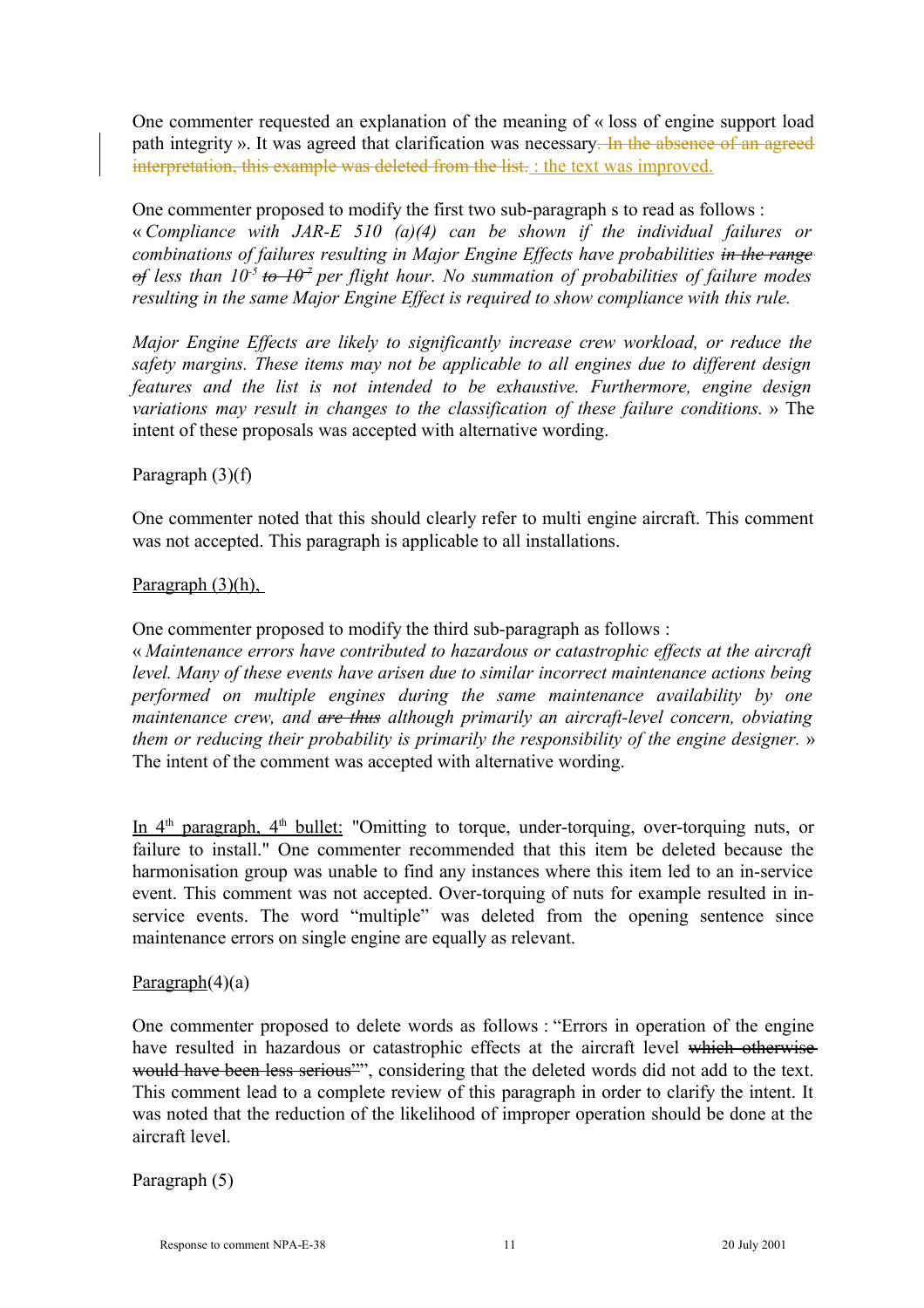One commenter requested an explanation of the meaning of « loss of engine support load path integrity ». It was agreed that clarification was necessary. In the absence of an agreed interpretation, this example was deleted from the list. : the text was improved.

One commenter proposed to modify the first two sub-paragraph s to read as follows : « *Compliance with JAR-E 510 (a)(4) can be shown if the individual failures or combinations of failures resulting in Major Engine Effects have probabilities in the range of less than 10-5 to 10-7 per flight hour. No summation of probabilities of failure modes resulting in the same Major Engine Effect is required to show compliance with this rule.*

*Major Engine Effects are likely to significantly increase crew workload, or reduce the safety margins. These items may not be applicable to all engines due to different design features and the list is not intended to be exhaustive. Furthermore, engine design variations may result in changes to the classification of these failure conditions.* » The intent of these proposals was accepted with alternative wording.

## Paragraph (3)(f)

One commenter noted that this should clearly refer to multi engine aircraft. This comment was not accepted. This paragraph is applicable to all installations.

#### Paragraph (3)(h),

One commenter proposed to modify the third sub-paragraph as follows :

« *Maintenance errors have contributed to hazardous or catastrophic effects at the aircraft level. Many of these events have arisen due to similar incorrect maintenance actions being performed on multiple engines during the same maintenance availability by one maintenance crew, and are thus although primarily an aircraft-level concern, obviating them or reducing their probability is primarily the responsibility of the engine designer.* » The intent of the comment was accepted with alternative wording.

In 4<sup>th</sup> paragraph, 4<sup>th</sup> bullet: "Omitting to torque, under-torquing, over-torquing nuts, or failure to install." One commenter recommended that this item be deleted because the harmonisation group was unable to find any instances where this item led to an in-service event. This comment was not accepted. Over-torquing of nuts for example resulted in inservice events. The word "multiple" was deleted from the opening sentence since maintenance errors on single engine are equally as relevant.

#### Paragraph(4)(a)

One commenter proposed to delete words as follows : "Errors in operation of the engine have resulted in hazardous or catastrophic effects at the aircraft level which otherwise would have been less serious"", considering that the deleted words did not add to the text. This comment lead to a complete review of this paragraph in order to clarify the intent. It was noted that the reduction of the likelihood of improper operation should be done at the aircraft level.

Paragraph (5)